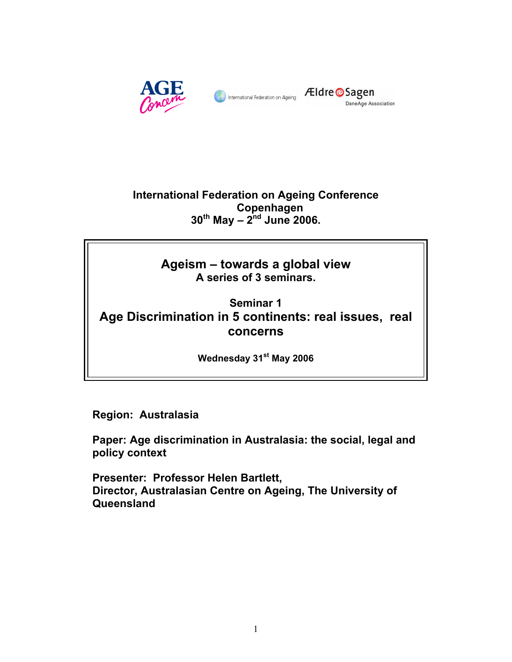

**Eldre** Sagen DaneAge Association

**International Federation on Ageing Conference Copenhagen 30th May – 2nd June 2006.** 

> **Ageism – towards a global view A series of 3 seminars.**

**Seminar 1 Age Discrimination in 5 continents: real issues, real concerns** 

**Wednesday 31st May 2006** 

**Region: Australasia** 

**Paper: Age discrimination in Australasia: the social, legal and policy context** 

**Presenter: Professor Helen Bartlett, Director, Australasian Centre on Ageing, The University of Queensland**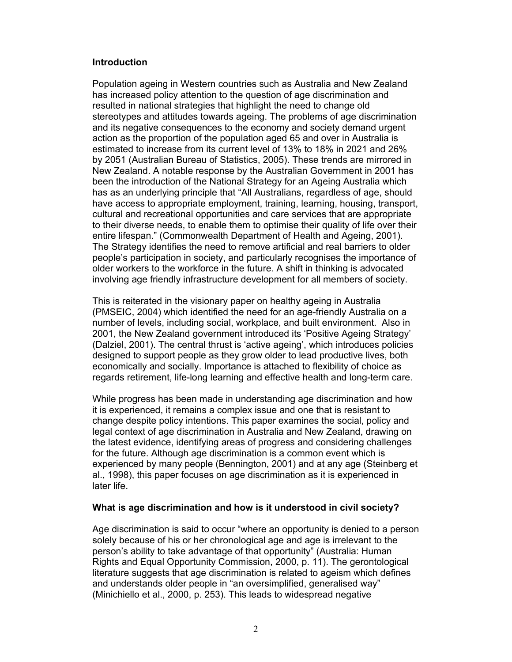# **Introduction**

Population ageing in Western countries such as Australia and New Zealand has increased policy attention to the question of age discrimination and resulted in national strategies that highlight the need to change old stereotypes and attitudes towards ageing. The problems of age discrimination and its negative consequences to the economy and society demand urgent action as the proportion of the population aged 65 and over in Australia is estimated to increase from its current level of 13% to 18% in 2021 and 26% by 2051 (Australian Bureau of Statistics, 2005). These trends are mirrored in New Zealand. A notable response by the Australian Government in 2001 has been the introduction of the National Strategy for an Ageing Australia which has as an underlying principle that "All Australians, regardless of age, should have access to appropriate employment, training, learning, housing, transport, cultural and recreational opportunities and care services that are appropriate to their diverse needs, to enable them to optimise their quality of life over their entire lifespan." (Commonwealth Department of Health and Ageing, 2001). The Strategy identifies the need to remove artificial and real barriers to older people's participation in society, and particularly recognises the importance of older workers to the workforce in the future. A shift in thinking is advocated involving age friendly infrastructure development for all members of society.

This is reiterated in the visionary paper on healthy ageing in Australia (PMSEIC, 2004) which identified the need for an age-friendly Australia on a number of levels, including social, workplace, and built environment. Also in 2001, the New Zealand government introduced its 'Positive Ageing Strategy' (Dalziel, 2001). The central thrust is 'active ageing', which introduces policies designed to support people as they grow older to lead productive lives, both economically and socially. Importance is attached to flexibility of choice as regards retirement, life-long learning and effective health and long-term care.

While progress has been made in understanding age discrimination and how it is experienced, it remains a complex issue and one that is resistant to change despite policy intentions. This paper examines the social, policy and legal context of age discrimination in Australia and New Zealand, drawing on the latest evidence, identifying areas of progress and considering challenges for the future. Although age discrimination is a common event which is experienced by many people (Bennington, 2001) and at any age (Steinberg et al., 1998), this paper focuses on age discrimination as it is experienced in later life.

### **What is age discrimination and how is it understood in civil society?**

Age discrimination is said to occur "where an opportunity is denied to a person solely because of his or her chronological age and age is irrelevant to the person's ability to take advantage of that opportunity" (Australia: Human Rights and Equal Opportunity Commission, 2000, p. 11). The gerontological literature suggests that age discrimination is related to ageism which defines and understands older people in "an oversimplified, generalised way" (Minichiello et al., 2000, p. 253). This leads to widespread negative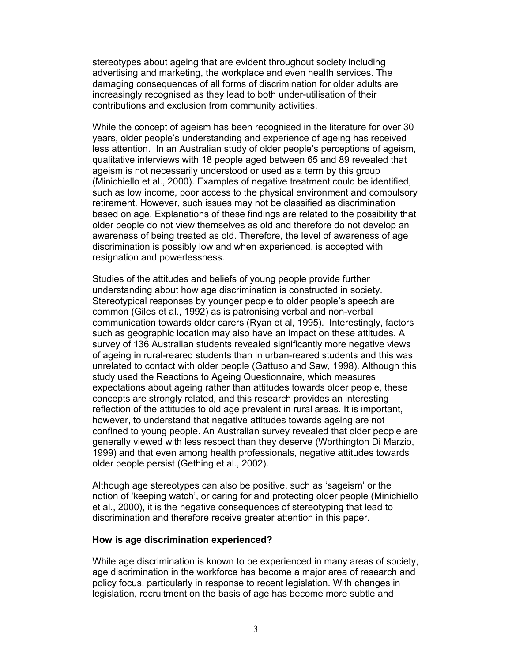stereotypes about ageing that are evident throughout society including advertising and marketing, the workplace and even health services. The damaging consequences of all forms of discrimination for older adults are increasingly recognised as they lead to both under-utilisation of their contributions and exclusion from community activities.

While the concept of ageism has been recognised in the literature for over 30 years, older people's understanding and experience of ageing has received less attention. In an Australian study of older people's perceptions of ageism, qualitative interviews with 18 people aged between 65 and 89 revealed that ageism is not necessarily understood or used as a term by this group (Minichiello et al., 2000). Examples of negative treatment could be identified, such as low income, poor access to the physical environment and compulsory retirement. However, such issues may not be classified as discrimination based on age. Explanations of these findings are related to the possibility that older people do not view themselves as old and therefore do not develop an awareness of being treated as old. Therefore, the level of awareness of age discrimination is possibly low and when experienced, is accepted with resignation and powerlessness.

Studies of the attitudes and beliefs of young people provide further understanding about how age discrimination is constructed in society. Stereotypical responses by younger people to older people's speech are common (Giles et al., 1992) as is patronising verbal and non-verbal communication towards older carers (Ryan et al, 1995). Interestingly, factors such as geographic location may also have an impact on these attitudes. A survey of 136 Australian students revealed significantly more negative views of ageing in rural-reared students than in urban-reared students and this was unrelated to contact with older people (Gattuso and Saw, 1998). Although this study used the Reactions to Ageing Questionnaire, which measures expectations about ageing rather than attitudes towards older people, these concepts are strongly related, and this research provides an interesting reflection of the attitudes to old age prevalent in rural areas. It is important, however, to understand that negative attitudes towards ageing are not confined to young people. An Australian survey revealed that older people are generally viewed with less respect than they deserve (Worthington Di Marzio, 1999) and that even among health professionals, negative attitudes towards older people persist (Gething et al., 2002).

Although age stereotypes can also be positive, such as 'sageism' or the notion of 'keeping watch', or caring for and protecting older people (Minichiello et al., 2000), it is the negative consequences of stereotyping that lead to discrimination and therefore receive greater attention in this paper.

### **How is age discrimination experienced?**

While age discrimination is known to be experienced in many areas of society, age discrimination in the workforce has become a major area of research and policy focus, particularly in response to recent legislation. With changes in legislation, recruitment on the basis of age has become more subtle and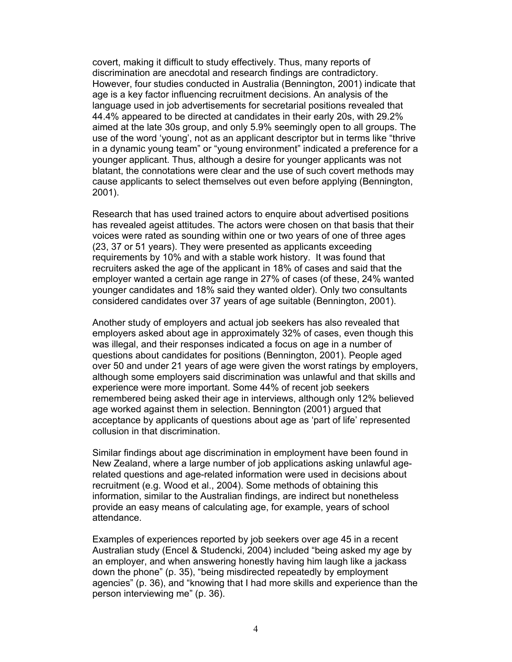covert, making it difficult to study effectively. Thus, many reports of discrimination are anecdotal and research findings are contradictory. However, four studies conducted in Australia (Bennington, 2001) indicate that age is a key factor influencing recruitment decisions. An analysis of the language used in job advertisements for secretarial positions revealed that 44.4% appeared to be directed at candidates in their early 20s, with 29.2% aimed at the late 30s group, and only 5.9% seemingly open to all groups. The use of the word 'young', not as an applicant descriptor but in terms like "thrive in a dynamic young team" or "young environment" indicated a preference for a younger applicant. Thus, although a desire for younger applicants was not blatant, the connotations were clear and the use of such covert methods may cause applicants to select themselves out even before applying (Bennington, 2001).

Research that has used trained actors to enquire about advertised positions has revealed ageist attitudes. The actors were chosen on that basis that their voices were rated as sounding within one or two years of one of three ages (23, 37 or 51 years). They were presented as applicants exceeding requirements by 10% and with a stable work history. It was found that recruiters asked the age of the applicant in 18% of cases and said that the employer wanted a certain age range in 27% of cases (of these, 24% wanted younger candidates and 18% said they wanted older). Only two consultants considered candidates over 37 years of age suitable (Bennington, 2001).

Another study of employers and actual job seekers has also revealed that employers asked about age in approximately 32% of cases, even though this was illegal, and their responses indicated a focus on age in a number of questions about candidates for positions (Bennington, 2001). People aged over 50 and under 21 years of age were given the worst ratings by employers, although some employers said discrimination was unlawful and that skills and experience were more important. Some 44% of recent job seekers remembered being asked their age in interviews, although only 12% believed age worked against them in selection. Bennington (2001) argued that acceptance by applicants of questions about age as 'part of life' represented collusion in that discrimination.

Similar findings about age discrimination in employment have been found in New Zealand, where a large number of job applications asking unlawful agerelated questions and age-related information were used in decisions about recruitment (e.g. Wood et al., 2004). Some methods of obtaining this information, similar to the Australian findings, are indirect but nonetheless provide an easy means of calculating age, for example, years of school attendance.

Examples of experiences reported by job seekers over age 45 in a recent Australian study (Encel & Studencki, 2004) included "being asked my age by an employer, and when answering honestly having him laugh like a jackass down the phone" (p. 35), "being misdirected repeatedly by employment agencies" (p. 36), and "knowing that I had more skills and experience than the person interviewing me" (p. 36).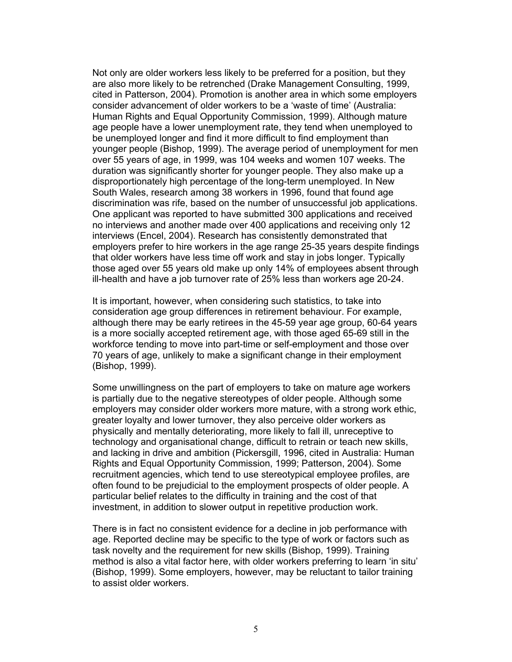Not only are older workers less likely to be preferred for a position, but they are also more likely to be retrenched (Drake Management Consulting, 1999, cited in Patterson, 2004). Promotion is another area in which some employers consider advancement of older workers to be a 'waste of time' (Australia: Human Rights and Equal Opportunity Commission, 1999). Although mature age people have a lower unemployment rate, they tend when unemployed to be unemployed longer and find it more difficult to find employment than younger people (Bishop, 1999). The average period of unemployment for men over 55 years of age, in 1999, was 104 weeks and women 107 weeks. The duration was significantly shorter for younger people. They also make up a disproportionately high percentage of the long-term unemployed. In New South Wales, research among 38 workers in 1996, found that found age discrimination was rife, based on the number of unsuccessful job applications. One applicant was reported to have submitted 300 applications and received no interviews and another made over 400 applications and receiving only 12 interviews (Encel, 2004). Research has consistently demonstrated that employers prefer to hire workers in the age range 25-35 years despite findings that older workers have less time off work and stay in jobs longer. Typically those aged over 55 years old make up only 14% of employees absent through ill-health and have a job turnover rate of 25% less than workers age 20-24.

It is important, however, when considering such statistics, to take into consideration age group differences in retirement behaviour. For example, although there may be early retirees in the 45-59 year age group, 60-64 years is a more socially accepted retirement age, with those aged 65-69 still in the workforce tending to move into part-time or self-employment and those over 70 years of age, unlikely to make a significant change in their employment (Bishop, 1999).

Some unwillingness on the part of employers to take on mature age workers is partially due to the negative stereotypes of older people. Although some employers may consider older workers more mature, with a strong work ethic, greater loyalty and lower turnover, they also perceive older workers as physically and mentally deteriorating, more likely to fall ill, unreceptive to technology and organisational change, difficult to retrain or teach new skills, and lacking in drive and ambition (Pickersgill, 1996, cited in Australia: Human Rights and Equal Opportunity Commission, 1999; Patterson, 2004). Some recruitment agencies, which tend to use stereotypical employee profiles, are often found to be prejudicial to the employment prospects of older people. A particular belief relates to the difficulty in training and the cost of that investment, in addition to slower output in repetitive production work.

There is in fact no consistent evidence for a decline in job performance with age. Reported decline may be specific to the type of work or factors such as task novelty and the requirement for new skills (Bishop, 1999). Training method is also a vital factor here, with older workers preferring to learn 'in situ' (Bishop, 1999). Some employers, however, may be reluctant to tailor training to assist older workers.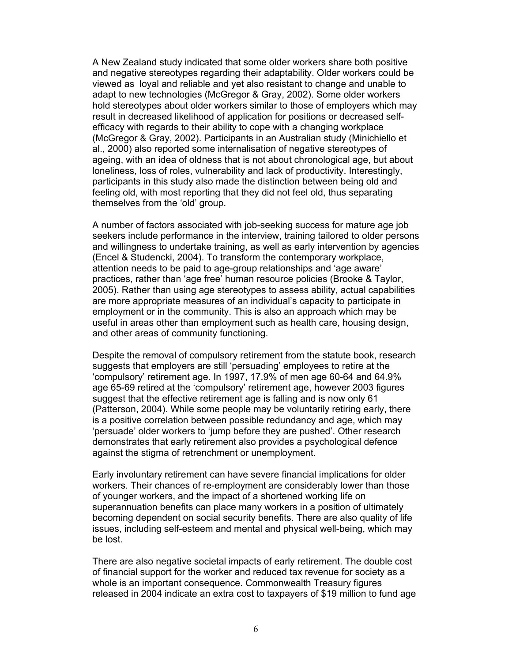A New Zealand study indicated that some older workers share both positive and negative stereotypes regarding their adaptability. Older workers could be viewed as loyal and reliable and yet also resistant to change and unable to adapt to new technologies (McGregor & Gray, 2002). Some older workers hold stereotypes about older workers similar to those of employers which may result in decreased likelihood of application for positions or decreased selfefficacy with regards to their ability to cope with a changing workplace (McGregor & Gray, 2002). Participants in an Australian study (Minichiello et al., 2000) also reported some internalisation of negative stereotypes of ageing, with an idea of oldness that is not about chronological age, but about loneliness, loss of roles, vulnerability and lack of productivity. Interestingly, participants in this study also made the distinction between being old and feeling old, with most reporting that they did not feel old, thus separating themselves from the 'old' group.

A number of factors associated with job-seeking success for mature age job seekers include performance in the interview, training tailored to older persons and willingness to undertake training, as well as early intervention by agencies (Encel & Studencki, 2004). To transform the contemporary workplace, attention needs to be paid to age-group relationships and 'age aware' practices, rather than 'age free' human resource policies (Brooke & Taylor, 2005). Rather than using age stereotypes to assess ability, actual capabilities are more appropriate measures of an individual's capacity to participate in employment or in the community. This is also an approach which may be useful in areas other than employment such as health care, housing design, and other areas of community functioning.

Despite the removal of compulsory retirement from the statute book, research suggests that employers are still 'persuading' employees to retire at the 'compulsory' retirement age. In 1997, 17.9% of men age 60-64 and 64.9% age 65-69 retired at the 'compulsory' retirement age, however 2003 figures suggest that the effective retirement age is falling and is now only 61 (Patterson, 2004). While some people may be voluntarily retiring early, there is a positive correlation between possible redundancy and age, which may 'persuade' older workers to 'jump before they are pushed'. Other research demonstrates that early retirement also provides a psychological defence against the stigma of retrenchment or unemployment.

Early involuntary retirement can have severe financial implications for older workers. Their chances of re-employment are considerably lower than those of younger workers, and the impact of a shortened working life on superannuation benefits can place many workers in a position of ultimately becoming dependent on social security benefits. There are also quality of life issues, including self-esteem and mental and physical well-being, which may be lost.

There are also negative societal impacts of early retirement. The double cost of financial support for the worker and reduced tax revenue for society as a whole is an important consequence. Commonwealth Treasury figures released in 2004 indicate an extra cost to taxpayers of \$19 million to fund age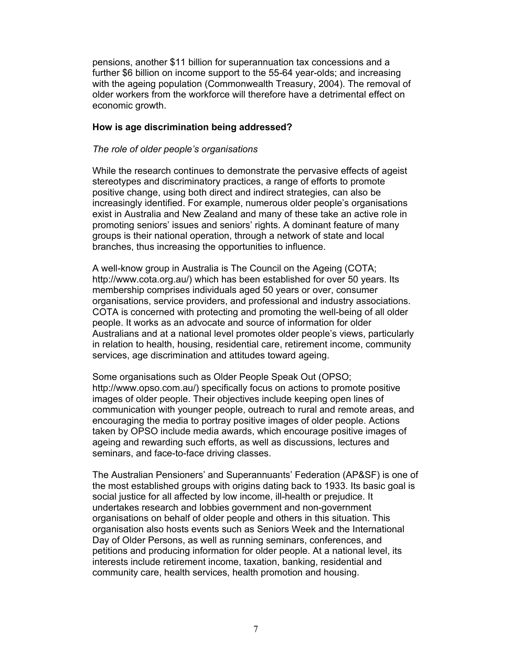pensions, another \$11 billion for superannuation tax concessions and a further \$6 billion on income support to the 55-64 year-olds; and increasing with the ageing population (Commonwealth Treasury, 2004). The removal of older workers from the workforce will therefore have a detrimental effect on economic growth.

# **How is age discrimination being addressed?**

### *The role of older people's organisations*

While the research continues to demonstrate the pervasive effects of ageist stereotypes and discriminatory practices, a range of efforts to promote positive change, using both direct and indirect strategies, can also be increasingly identified. For example, numerous older people's organisations exist in Australia and New Zealand and many of these take an active role in promoting seniors' issues and seniors' rights. A dominant feature of many groups is their national operation, through a network of state and local branches, thus increasing the opportunities to influence.

A well-know group in Australia is The Council on the Ageing (COTA; http://www.cota.org.au/) which has been established for over 50 years. Its membership comprises individuals aged 50 years or over, consumer organisations, service providers, and professional and industry associations. COTA is concerned with protecting and promoting the well-being of all older people. It works as an advocate and source of information for older Australians and at a national level promotes older people's views, particularly in relation to health, housing, residential care, retirement income, community services, age discrimination and attitudes toward ageing.

Some organisations such as Older People Speak Out (OPSO; http://www.opso.com.au/) specifically focus on actions to promote positive images of older people. Their objectives include keeping open lines of communication with younger people, outreach to rural and remote areas, and encouraging the media to portray positive images of older people. Actions taken by OPSO include media awards, which encourage positive images of ageing and rewarding such efforts, as well as discussions, lectures and seminars, and face-to-face driving classes.

The Australian Pensioners' and Superannuants' Federation (AP&SF) is one of the most established groups with origins dating back to 1933. Its basic goal is social justice for all affected by low income, ill-health or prejudice. It undertakes research and lobbies government and non-government organisations on behalf of older people and others in this situation. This organisation also hosts events such as Seniors Week and the International Day of Older Persons, as well as running seminars, conferences, and petitions and producing information for older people. At a national level, its interests include retirement income, taxation, banking, residential and community care, health services, health promotion and housing.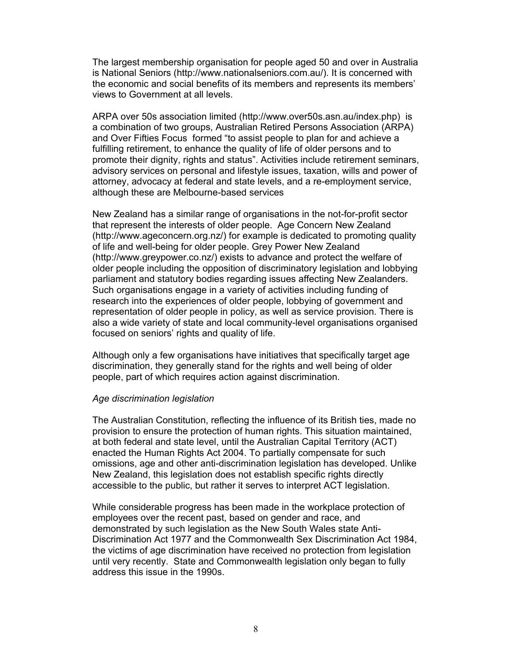The largest membership organisation for people aged 50 and over in Australia is National Seniors (http://www.nationalseniors.com.au/). It is concerned with the economic and social benefits of its members and represents its members' views to Government at all levels.

ARPA over 50s association limited (http://www.over50s.asn.au/index.php) is a combination of two groups, Australian Retired Persons Association (ARPA) and Over Fifties Focus formed "to assist people to plan for and achieve a fulfilling retirement, to enhance the quality of life of older persons and to promote their dignity, rights and status". Activities include retirement seminars, advisory services on personal and lifestyle issues, taxation, wills and power of attorney, advocacy at federal and state levels, and a re-employment service, although these are Melbourne-based services

New Zealand has a similar range of organisations in the not-for-profit sector that represent the interests of older people. Age Concern New Zealand (http://www.ageconcern.org.nz/) for example is dedicated to promoting quality of life and well-being for older people. Grey Power New Zealand (http://www.greypower.co.nz/) exists to advance and protect the welfare of older people including the opposition of discriminatory legislation and lobbying parliament and statutory bodies regarding issues affecting New Zealanders. Such organisations engage in a variety of activities including funding of research into the experiences of older people, lobbying of government and representation of older people in policy, as well as service provision. There is also a wide variety of state and local community-level organisations organised focused on seniors' rights and quality of life.

Although only a few organisations have initiatives that specifically target age discrimination, they generally stand for the rights and well being of older people, part of which requires action against discrimination.

#### *Age discrimination legislation*

The Australian Constitution, reflecting the influence of its British ties, made no provision to ensure the protection of human rights. This situation maintained, at both federal and state level, until the Australian Capital Territory (ACT) enacted the Human Rights Act 2004. To partially compensate for such omissions, age and other anti-discrimination legislation has developed. Unlike New Zealand, this legislation does not establish specific rights directly accessible to the public, but rather it serves to interpret ACT legislation.

While considerable progress has been made in the workplace protection of employees over the recent past, based on gender and race, and demonstrated by such legislation as the New South Wales state Anti-Discrimination Act 1977 and the Commonwealth Sex Discrimination Act 1984, the victims of age discrimination have received no protection from legislation until very recently. State and Commonwealth legislation only began to fully address this issue in the 1990s.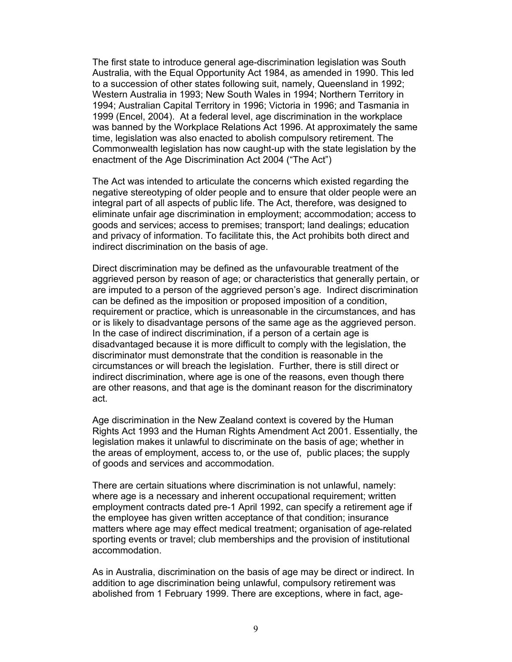The first state to introduce general age-discrimination legislation was South Australia, with the Equal Opportunity Act 1984, as amended in 1990. This led to a succession of other states following suit, namely, Queensland in 1992; Western Australia in 1993; New South Wales in 1994; Northern Territory in 1994; Australian Capital Territory in 1996; Victoria in 1996; and Tasmania in 1999 (Encel, 2004). At a federal level, age discrimination in the workplace was banned by the Workplace Relations Act 1996. At approximately the same time, legislation was also enacted to abolish compulsory retirement. The Commonwealth legislation has now caught-up with the state legislation by the enactment of the Age Discrimination Act 2004 ("The Act")

The Act was intended to articulate the concerns which existed regarding the negative stereotyping of older people and to ensure that older people were an integral part of all aspects of public life. The Act, therefore, was designed to eliminate unfair age discrimination in employment; accommodation; access to goods and services; access to premises; transport; land dealings; education and privacy of information. To facilitate this, the Act prohibits both direct and indirect discrimination on the basis of age.

Direct discrimination may be defined as the unfavourable treatment of the aggrieved person by reason of age; or characteristics that generally pertain, or are imputed to a person of the aggrieved person's age. Indirect discrimination can be defined as the imposition or proposed imposition of a condition, requirement or practice, which is unreasonable in the circumstances, and has or is likely to disadvantage persons of the same age as the aggrieved person. In the case of indirect discrimination, if a person of a certain age is disadvantaged because it is more difficult to comply with the legislation, the discriminator must demonstrate that the condition is reasonable in the circumstances or will breach the legislation. Further, there is still direct or indirect discrimination, where age is one of the reasons, even though there are other reasons, and that age is the dominant reason for the discriminatory act.

Age discrimination in the New Zealand context is covered by the Human Rights Act 1993 and the Human Rights Amendment Act 2001. Essentially, the legislation makes it unlawful to discriminate on the basis of age; whether in the areas of employment, access to, or the use of, public places; the supply of goods and services and accommodation.

There are certain situations where discrimination is not unlawful, namely: where age is a necessary and inherent occupational requirement; written employment contracts dated pre-1 April 1992, can specify a retirement age if the employee has given written acceptance of that condition; insurance matters where age may effect medical treatment; organisation of age-related sporting events or travel; club memberships and the provision of institutional accommodation.

As in Australia, discrimination on the basis of age may be direct or indirect. In addition to age discrimination being unlawful, compulsory retirement was abolished from 1 February 1999. There are exceptions, where in fact, age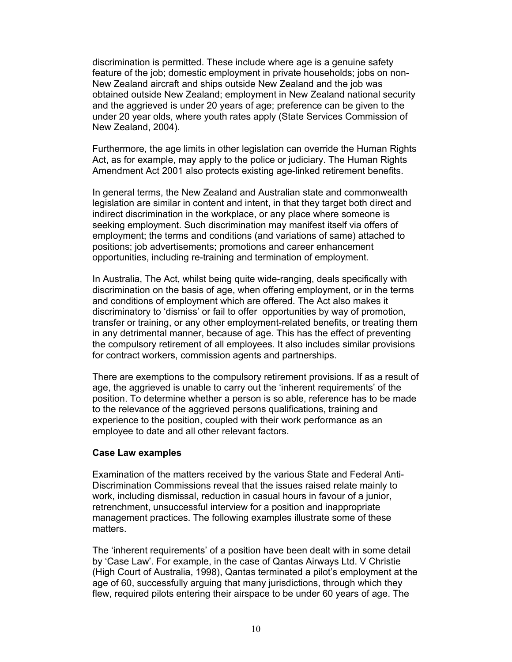discrimination is permitted. These include where age is a genuine safety feature of the job; domestic employment in private households; jobs on non-New Zealand aircraft and ships outside New Zealand and the job was obtained outside New Zealand; employment in New Zealand national security and the aggrieved is under 20 years of age; preference can be given to the under 20 year olds, where youth rates apply (State Services Commission of New Zealand, 2004).

Furthermore, the age limits in other legislation can override the Human Rights Act, as for example, may apply to the police or judiciary. The Human Rights Amendment Act 2001 also protects existing age-linked retirement benefits.

In general terms, the New Zealand and Australian state and commonwealth legislation are similar in content and intent, in that they target both direct and indirect discrimination in the workplace, or any place where someone is seeking employment. Such discrimination may manifest itself via offers of employment; the terms and conditions (and variations of same) attached to positions; job advertisements; promotions and career enhancement opportunities, including re-training and termination of employment.

In Australia, The Act, whilst being quite wide-ranging, deals specifically with discrimination on the basis of age, when offering employment, or in the terms and conditions of employment which are offered. The Act also makes it discriminatory to 'dismiss' or fail to offer opportunities by way of promotion, transfer or training, or any other employment-related benefits, or treating them in any detrimental manner, because of age. This has the effect of preventing the compulsory retirement of all employees. It also includes similar provisions for contract workers, commission agents and partnerships.

There are exemptions to the compulsory retirement provisions. If as a result of age, the aggrieved is unable to carry out the 'inherent requirements' of the position. To determine whether a person is so able, reference has to be made to the relevance of the aggrieved persons qualifications, training and experience to the position, coupled with their work performance as an employee to date and all other relevant factors.

### **Case Law examples**

Examination of the matters received by the various State and Federal Anti-Discrimination Commissions reveal that the issues raised relate mainly to work, including dismissal, reduction in casual hours in favour of a junior, retrenchment, unsuccessful interview for a position and inappropriate management practices. The following examples illustrate some of these matters.

The 'inherent requirements' of a position have been dealt with in some detail by 'Case Law'. For example, in the case of Qantas Airways Ltd. V Christie (High Court of Australia, 1998), Qantas terminated a pilot's employment at the age of 60, successfully arguing that many jurisdictions, through which they flew, required pilots entering their airspace to be under 60 years of age. The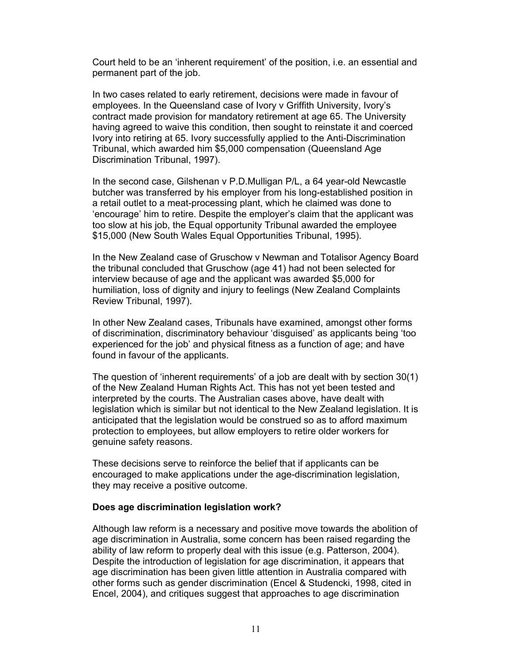Court held to be an 'inherent requirement' of the position, i.e. an essential and permanent part of the job.

In two cases related to early retirement, decisions were made in favour of employees. In the Queensland case of Ivory v Griffith University, Ivory's contract made provision for mandatory retirement at age 65. The University having agreed to waive this condition, then sought to reinstate it and coerced Ivory into retiring at 65. Ivory successfully applied to the Anti-Discrimination Tribunal, which awarded him \$5,000 compensation (Queensland Age Discrimination Tribunal, 1997).

In the second case, Gilshenan v P.D.Mulligan P/L, a 64 year-old Newcastle butcher was transferred by his employer from his long-established position in a retail outlet to a meat-processing plant, which he claimed was done to 'encourage' him to retire. Despite the employer's claim that the applicant was too slow at his job, the Equal opportunity Tribunal awarded the employee \$15,000 (New South Wales Equal Opportunities Tribunal, 1995).

In the New Zealand case of Gruschow v Newman and Totalisor Agency Board the tribunal concluded that Gruschow (age 41) had not been selected for interview because of age and the applicant was awarded \$5,000 for humiliation, loss of dignity and injury to feelings (New Zealand Complaints Review Tribunal, 1997).

In other New Zealand cases, Tribunals have examined, amongst other forms of discrimination, discriminatory behaviour 'disguised' as applicants being 'too experienced for the job' and physical fitness as a function of age; and have found in favour of the applicants.

The question of 'inherent requirements' of a job are dealt with by section 30(1) of the New Zealand Human Rights Act. This has not yet been tested and interpreted by the courts. The Australian cases above, have dealt with legislation which is similar but not identical to the New Zealand legislation. It is anticipated that the legislation would be construed so as to afford maximum protection to employees, but allow employers to retire older workers for genuine safety reasons.

These decisions serve to reinforce the belief that if applicants can be encouraged to make applications under the age-discrimination legislation, they may receive a positive outcome.

### **Does age discrimination legislation work?**

Although law reform is a necessary and positive move towards the abolition of age discrimination in Australia, some concern has been raised regarding the ability of law reform to properly deal with this issue (e.g. Patterson, 2004). Despite the introduction of legislation for age discrimination, it appears that age discrimination has been given little attention in Australia compared with other forms such as gender discrimination (Encel & Studencki, 1998, cited in Encel, 2004), and critiques suggest that approaches to age discrimination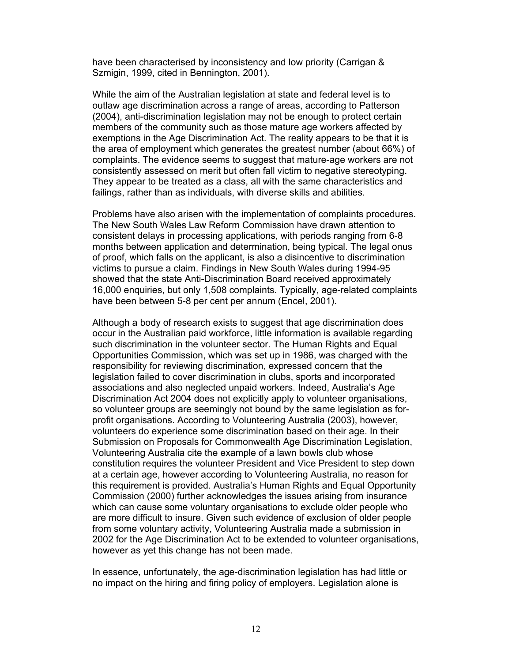have been characterised by inconsistency and low priority (Carrigan & Szmigin, 1999, cited in Bennington, 2001).

While the aim of the Australian legislation at state and federal level is to outlaw age discrimination across a range of areas, according to Patterson (2004), anti-discrimination legislation may not be enough to protect certain members of the community such as those mature age workers affected by exemptions in the Age Discrimination Act. The reality appears to be that it is the area of employment which generates the greatest number (about 66%) of complaints. The evidence seems to suggest that mature-age workers are not consistently assessed on merit but often fall victim to negative stereotyping. They appear to be treated as a class, all with the same characteristics and failings, rather than as individuals, with diverse skills and abilities.

Problems have also arisen with the implementation of complaints procedures. The New South Wales Law Reform Commission have drawn attention to consistent delays in processing applications, with periods ranging from 6-8 months between application and determination, being typical. The legal onus of proof, which falls on the applicant, is also a disincentive to discrimination victims to pursue a claim. Findings in New South Wales during 1994-95 showed that the state Anti-Discrimination Board received approximately 16,000 enquiries, but only 1,508 complaints. Typically, age-related complaints have been between 5-8 per cent per annum (Encel, 2001).

Although a body of research exists to suggest that age discrimination does occur in the Australian paid workforce, little information is available regarding such discrimination in the volunteer sector. The Human Rights and Equal Opportunities Commission, which was set up in 1986, was charged with the responsibility for reviewing discrimination, expressed concern that the legislation failed to cover discrimination in clubs, sports and incorporated associations and also neglected unpaid workers. Indeed, Australia's Age Discrimination Act 2004 does not explicitly apply to volunteer organisations, so volunteer groups are seemingly not bound by the same legislation as forprofit organisations. According to Volunteering Australia (2003), however, volunteers do experience some discrimination based on their age. In their Submission on Proposals for Commonwealth Age Discrimination Legislation, Volunteering Australia cite the example of a lawn bowls club whose constitution requires the volunteer President and Vice President to step down at a certain age, however according to Volunteering Australia, no reason for this requirement is provided. Australia's Human Rights and Equal Opportunity Commission (2000) further acknowledges the issues arising from insurance which can cause some voluntary organisations to exclude older people who are more difficult to insure. Given such evidence of exclusion of older people from some voluntary activity, Volunteering Australia made a submission in 2002 for the Age Discrimination Act to be extended to volunteer organisations, however as yet this change has not been made.

In essence, unfortunately, the age-discrimination legislation has had little or no impact on the hiring and firing policy of employers. Legislation alone is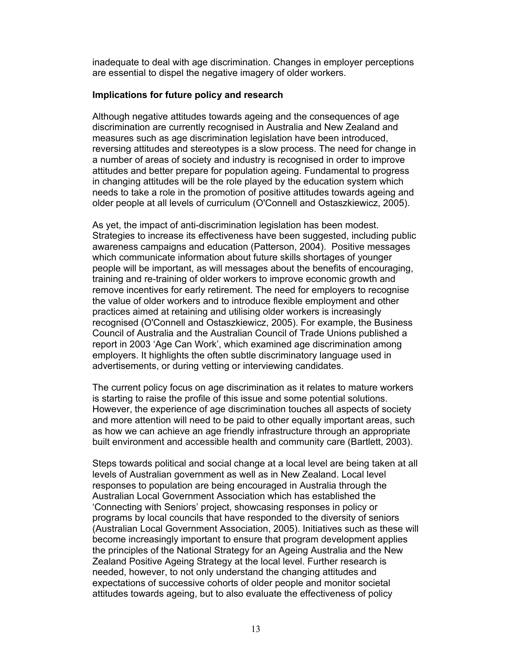inadequate to deal with age discrimination. Changes in employer perceptions are essential to dispel the negative imagery of older workers.

# **Implications for future policy and research**

Although negative attitudes towards ageing and the consequences of age discrimination are currently recognised in Australia and New Zealand and measures such as age discrimination legislation have been introduced, reversing attitudes and stereotypes is a slow process. The need for change in a number of areas of society and industry is recognised in order to improve attitudes and better prepare for population ageing. Fundamental to progress in changing attitudes will be the role played by the education system which needs to take a role in the promotion of positive attitudes towards ageing and older people at all levels of curriculum (O'Connell and Ostaszkiewicz, 2005).

As yet, the impact of anti-discrimination legislation has been modest. Strategies to increase its effectiveness have been suggested, including public awareness campaigns and education (Patterson, 2004). Positive messages which communicate information about future skills shortages of younger people will be important, as will messages about the benefits of encouraging, training and re-training of older workers to improve economic growth and remove incentives for early retirement. The need for employers to recognise the value of older workers and to introduce flexible employment and other practices aimed at retaining and utilising older workers is increasingly recognised (O'Connell and Ostaszkiewicz, 2005). For example, the Business Council of Australia and the Australian Council of Trade Unions published a report in 2003 'Age Can Work', which examined age discrimination among employers. It highlights the often subtle discriminatory language used in advertisements, or during vetting or interviewing candidates.

The current policy focus on age discrimination as it relates to mature workers is starting to raise the profile of this issue and some potential solutions. However, the experience of age discrimination touches all aspects of society and more attention will need to be paid to other equally important areas, such as how we can achieve an age friendly infrastructure through an appropriate built environment and accessible health and community care (Bartlett, 2003).

Steps towards political and social change at a local level are being taken at all levels of Australian government as well as in New Zealand. Local level responses to population are being encouraged in Australia through the Australian Local Government Association which has established the 'Connecting with Seniors' project, showcasing responses in policy or programs by local councils that have responded to the diversity of seniors (Australian Local Government Association, 2005). Initiatives such as these will become increasingly important to ensure that program development applies the principles of the National Strategy for an Ageing Australia and the New Zealand Positive Ageing Strategy at the local level. Further research is needed, however, to not only understand the changing attitudes and expectations of successive cohorts of older people and monitor societal attitudes towards ageing, but to also evaluate the effectiveness of policy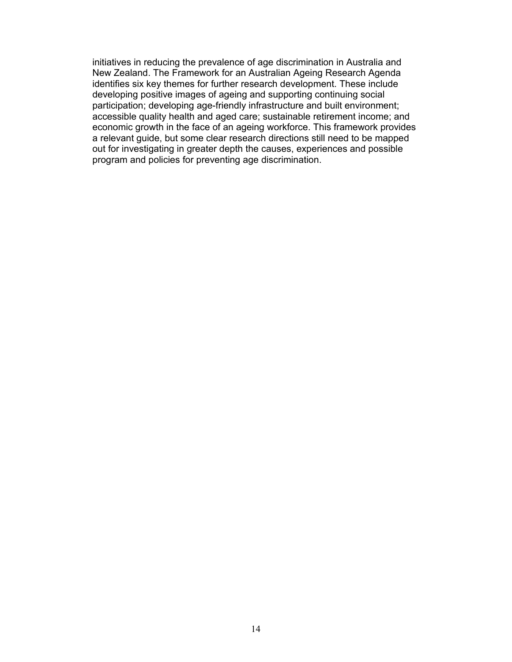initiatives in reducing the prevalence of age discrimination in Australia and New Zealand. The Framework for an Australian Ageing Research Agenda identifies six key themes for further research development. These include developing positive images of ageing and supporting continuing social participation; developing age-friendly infrastructure and built environment; accessible quality health and aged care; sustainable retirement income; and economic growth in the face of an ageing workforce. This framework provides a relevant guide, but some clear research directions still need to be mapped out for investigating in greater depth the causes, experiences and possible program and policies for preventing age discrimination.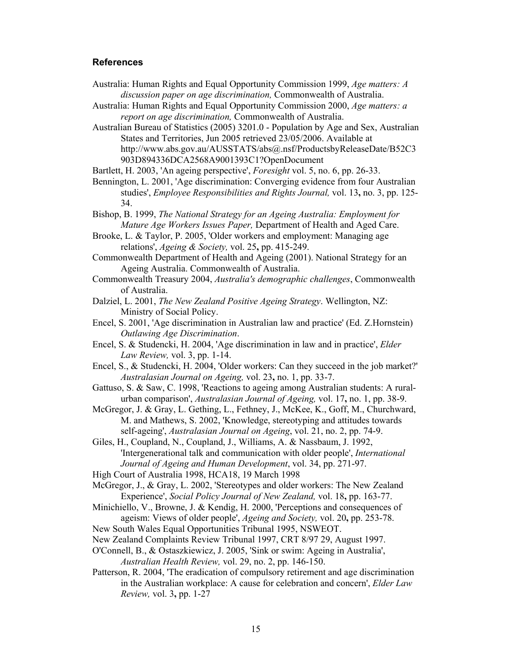#### **References**

- Australia: Human Rights and Equal Opportunity Commission 1999, *Age matters: A discussion paper on age discrimination,* Commonwealth of Australia.
- Australia: Human Rights and Equal Opportunity Commission 2000, *Age matters: a report on age discrimination,* Commonwealth of Australia.

Australian Bureau of Statistics (2005) 3201.0 - Population by Age and Sex, Australian States and Territories, Jun 2005 retrieved 23/05/2006. Available at http://www.abs.gov.au/AUSSTATS/abs@.nsf/ProductsbyReleaseDate/B52C3 903D894336DCA2568A9001393C1?OpenDocument

Bartlett, H. 2003, 'An ageing perspective', *Foresight* vol. 5, no. 6, pp. 26-33.

Bennington, L. 2001, 'Age discrimination: Converging evidence from four Australian studies', *Employee Responsibilities and Rights Journal,* vol. 13**,** no. 3, pp. 125- 34.

Bishop, B. 1999, *The National Strategy for an Ageing Australia: Employment for Mature Age Workers Issues Paper,* Department of Health and Aged Care.

Brooke, L. & Taylor, P. 2005, 'Older workers and employment: Managing age relations', *Ageing & Society,* vol. 25**,** pp. 415-249.

Commonwealth Department of Health and Ageing (2001). National Strategy for an Ageing Australia. Commonwealth of Australia.

- Commonwealth Treasury 2004, *Australia's demographic challenges*, Commonwealth of Australia.
- Dalziel, L. 2001, *The New Zealand Positive Ageing Strategy*. Wellington, NZ: Ministry of Social Policy.
- Encel, S. 2001, 'Age discrimination in Australian law and practice' (Ed. Z.Hornstein) *Outlawing Age Discrimination*.
- Encel, S. & Studencki, H. 2004, 'Age discrimination in law and in practice', *Elder Law Review,* vol. 3, pp. 1-14.
- Encel, S., & Studencki, H. 2004, 'Older workers: Can they succeed in the job market?' *Australasian Journal on Ageing,* vol. 23**,** no. 1, pp. 33-7.
- Gattuso, S. & Saw, C. 1998, 'Reactions to ageing among Australian students: A ruralurban comparison', *Australasian Journal of Ageing,* vol. 17**,** no. 1, pp. 38-9.
- McGregor, J. & Gray, L. Gething, L., Fethney, J., McKee, K., Goff, M., Churchward, M. and Mathews, S. 2002, 'Knowledge, stereotyping and attitudes towards self-ageing', *Australasian Journal on Ageing*, vol. 21, no. 2, pp. 74-9.

Giles, H., Coupland, N., Coupland, J., Williams, A. & Nassbaum, J. 1992, 'Intergenerational talk and communication with older people', *International Journal of Ageing and Human Development*, vol. 34, pp. 271-97.

High Court of Australia 1998, HCA18, 19 March 1998

McGregor, J., & Gray, L. 2002, 'Stereotypes and older workers: The New Zealand Experience', *Social Policy Journal of New Zealand,* vol. 18**,** pp. 163-77.

- Minichiello, V., Browne, J. & Kendig, H. 2000, 'Perceptions and consequences of ageism: Views of older people', *Ageing and Society,* vol. 20**,** pp. 253-78.
- New South Wales Equal Opportunities Tribunal 1995, NSWEOT.
- New Zealand Complaints Review Tribunal 1997, CRT 8/97 29, August 1997.
- O'Connell, B., & Ostaszkiewicz, J. 2005, 'Sink or swim: Ageing in Australia', *Australian Health Review,* vol. 29, no. 2, pp. 146-150.
- Patterson, R. 2004, 'The eradication of compulsory retirement and age discrimination in the Australian workplace: A cause for celebration and concern', *Elder Law Review,* vol. 3**,** pp. 1-27